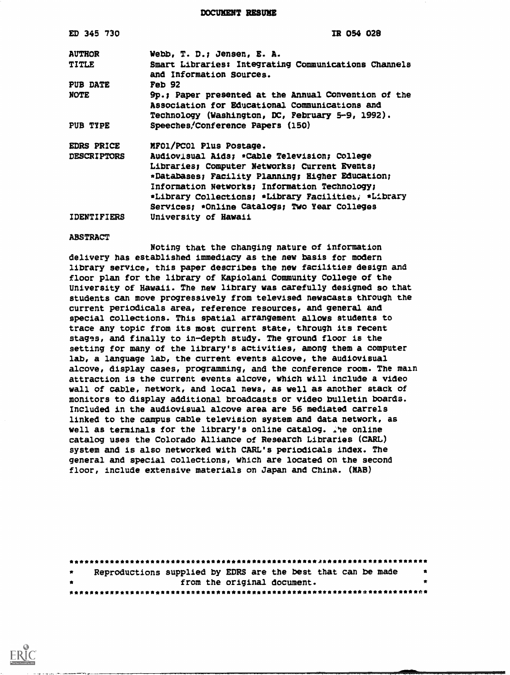DOCUMENT RESUME

## ABSTRACT

Noting that the changing nature of information delivery has established immediacy as the new basis for modern library service, this paper describes the new facilities design and floor plan for the library of Kapiolani Community College of the University of Hawaii. The new library was carefully designed so that students can move progressively from televised newscasts through the current periodicals area, reference resources, and general and special collections. This spatial arrangement allows students to trace any topic from its most current state, through its recent stagss, and finally to in-depth study. The ground floor is the setting for many of the library's activities, among them a computer lab, a language lab, the current events alcove, the audiovisual alcove, display cases, programming, and the conference room. The main attraction is the current events alcove, which will include a video wall of cable, network, and local news, as well as another stack of monitors to display additional broadcasts or video bulletin boards. Included in the audiovisual alcove area are 56 mediated carrels linked to the campus cable television system and data network, as well as terminals for the library's online catalog. The online catalog uses the Colorado Alliance of Research Libraries (CARL) system and is also networked with CARL'S periodicals index. The general and special collections, which are located on the second floor, include extensive materials on Japan and China. (NAB)

| $\bullet$ |  |                             | Reproductions supplied by EDRS are the best that can be made | - 食       |
|-----------|--|-----------------------------|--------------------------------------------------------------|-----------|
| $\bullet$ |  | from the original document. |                                                              | $\bullet$ |
|           |  |                             |                                                              |           |

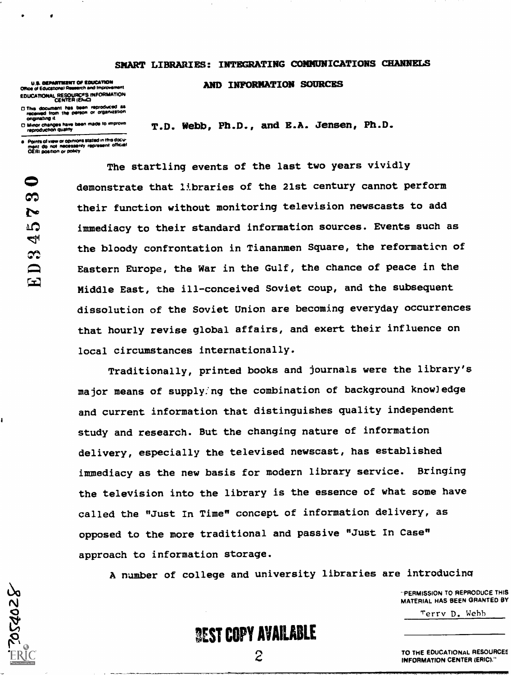## SMART LIBRARIES: INTEGRATING COMMUNICATIONS CHANNELS

T.D. Webb, Ph.D., and B.A. Jensen, Ph.D.

AND INFORMATION SOURCES

U.S. DEPARTMENT OF EDUCATION<br>Office of Educational Research and Improvement EDUCATIONAL RESOUNCES INFORMATION

13 The docomonl Pisi boon reorod4c.0 as tocomod tram Me WWI o( ordarittato^ onginating it.<br>Minor changes have been made to improve

raproChatton attitoy

Points of valer or opinions stated in mis docu-<br>men! do .not .necessarily .rapresent. official<br>OERI position or policy

The startling events of the last two years vividly demonstrate that libraries of the 21st century cannot perform their function without monitoring television newscasts to add immediacy to their standard information sources. Events such as the bloody confrontation in Tiananmen Square, the reformation of Eastern Europe, the War in the Gulf, the chance of peace in the Middle East, the ill-conceived Soviet coup, and the subsequent dissolution of the Soviet Union are becoming everyday occurrences that hourly revise global affairs, and exert their influence on local circumstances internationally.

Traditionally, printed books and journals were the library's major means of supply:ng the combination of background know]edge and current information that distinguishes quality independent study and research. But the changing nature of information delivery, especially the televised newscast, has established immediacy as the new basis for modern library service. Bringing the television into the library is the essence of what some have called the "Just In Time" concept of information delivery, as opposed to the more traditional and passive "Just In Case" approach to information storage.

A number of college and university libraries are introducina

 $\mathcal{Z}$  and the set of  $\mathcal{Z}$ 

"PERMISSION TO REPRODUCE THIS MATERIAL HAS BEEN GRANTED BY

Terry D. Webb



TO THE EDUCATIONAL RESOURCEE INFORMATION CENTER (ERIC)."

0 ಣ N ഹ 4 R <u>ြက</u>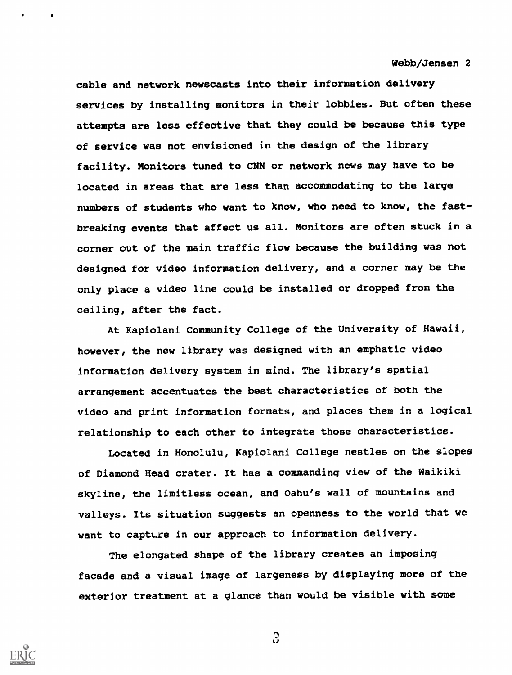cable and network newscasts into their information delivery services by installing monitors in their lobbies. But often these attempts are less effective that they could be because this type of service was not envisioned in the design of the library facility. Monitors tuned to CNN or network news may have to be located in areas that are less than accommodating to the large numbers of students who want to know, who need to know, the fastbreaking events that affect us all. Monitors are often stuck in a corner out of the main traffic flow because the building was not designed for video information delivery, and a corner may be the only place a video line could be installed or dropped from the ceiling, after the fact.

At Kapiolani Community College of the University of Hawaii, however, the new library was designed with an emphatic video information delivery system in mind. The library's spatial arrangement accentuates the best characteristics of both the video and print information formats, and places them in a logical relationship to each other to integrate those characteristics.

Located in Honolulu, Kapiolani College nestles on the slopes of Diamond Head crater. It has a commanding view of the Waikiki skyline, the limitless ocean, and Oahu's wall of mountains and valleys. Its situation suggests an openness to the world that we want to capture in our approach to information delivery.

The elongated shape of the library creates an imposing facade and a visual image of largeness by displaying more of the exterior treatment at a glance than would be visible with some



 $\Omega$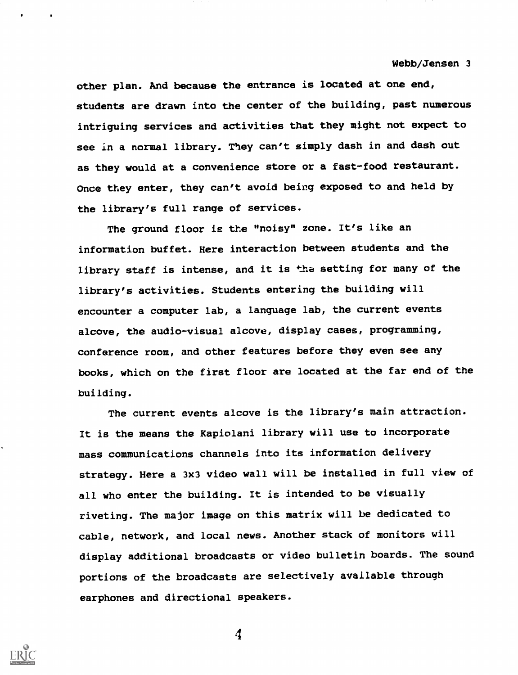other plan. And because the entrance is located at one end, students are drawn into the center of the building, past numerous intriguing services and activities that they might not expect to see in a normal library. They can't simply dash in and dash out as they would at a convenience store or a fast-food restaurant. Once they enter, they can't avoid being exposed to and held by the library's full range of services.

The ground floor is the "noisy" zone. It's like an information buffet. Here interaction between students and the library staff is intense, and it is the setting for many of the library's activities. Students entering the building will encounter a computer lab, a language lab, the current events alcove, the audio-visual alcove, display cases, programming, conference room, and other features before they even see any books, which on the first floor are located at the far end of the building.

The current events alcove is the library's main attraction. It is the means the Kapiolani library will use to incorporate mass communications channels into its information delivery strategy. Here a 3x3 video wall will be installed in full view of all who enter the building. It is intended to be visually riveting. The major image on this matrix will be dedicated to cable, network, and local news. Another stack of monitors will display additional broadcasts or video bulletin boards. The sound portions of the broadcasts are selectively available through earphones and directional speakers.

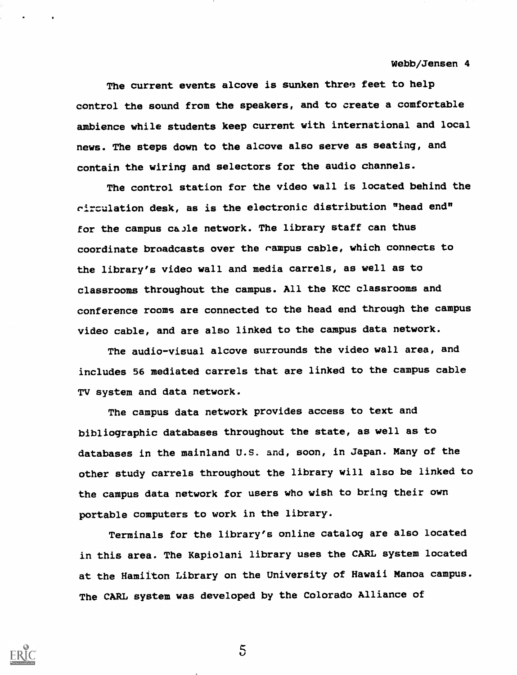The current events alcove is sunken three feet to help control the sound from the speakers, and to create a comfortable ambience while students keep current with international and local news. The steps down to the alcove also serve as seating, and contain the wiring and selectors for the audio channels.

The control station for the video wall is located behind the rirculation desk, as is the electronic distribution "head end" for the campus ca.)le network. The library staff can thus coordinate broadcasts over the rampus cable, which connects to the library's video wall and media carrels, as well as to classrooms throughout the campus. All the KCC classrooms and conference rooms are connected to the head end through the campus video cable, and are also linked to the campus data network.

The audio-visual alcove surrounds the video wall area, and includes 56 mediated carrels that are linked to the campus cable TV system and data network.

The campus data network provides access to text and bibliographic databases throughout the state, as well as to databases in the mainland U.S. and, soon, in Japan. Many of the other study carrels throughout the library will also be linked to the campus data network for users who wish to bring their own portable computers to work in the library.

Terminals for the library's online catalog are also located in this area. The Kapiolani library uses the CARL system located at the Hamilton Library on the University of Hawaii Manoa campus. The CARL system was developed by the Colorado Alliance of



 $5\overline{)}$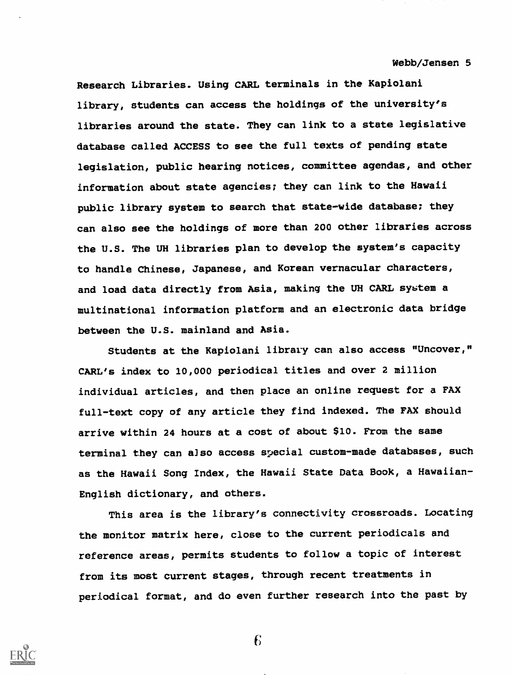Research Libraries. Using CARL terminals in the Kapiolani library, students can access the holdings of the university's libraries around the state. They can link to a state legislative database called ACCESS to see the full texts of pending state legislation, public hearing notices, committee agendas, and other information about state agencies; they can link to the Hawaii public library system to search that state-wide database; they can also see the holdings of more than 200 other libraries across the U.S. The UH libraries plan to develop the system's capacity to handle Chinese, Japanese, and Korean vernacular characters, and load data directly from Asia, making the UH CARL system a multinational information platform and an electronic data bridge between the U.S. mainland and Asia.

Students at the Kapiolani library can also access "Uncover," CARL'S index to 10,000 periodical titles and over 2 million individual articles, and then place an online request for a FAX full-text copy of any article they find indexed. The FAX should arrive within 24 hours at a cost of about \$10. From the same terminal they can also access special custom-made databases, such as the Hawaii Song Index, the Hawaii State Data Book, a Hawaiian-English dictionary, and others.

This area is the library's connectivity crossroads. Locating the monitor matrix here, close to the current periodicals and reference areas, permits students to follow a topic of interest from its most current stages, through recent treatments in periodical format, and do even further research into the past by

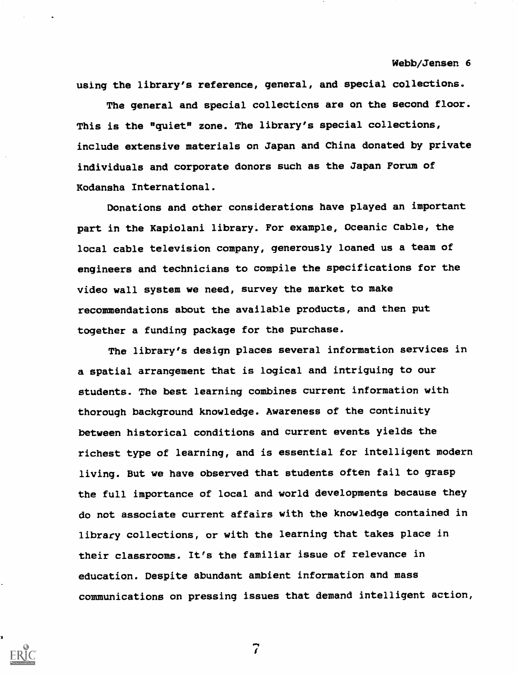using the library's reference, general, and special collections.

The general and special collections are on the second floor. This is the "quiet" zone. The library's special collections, include extensive materials on Japan and China donated by private individuals and corporate donors such as the Japan Forum of Kodansha International.

Donations and other considerations have played an important part in the Kapiolani library. For example, Oceanic Cable, the local cable television company, generously loaned us a team of engineers and technicians to compile the specifications for the video wall system we need, survey the market to make recommendations about the available products, and then put together a funding package for the purchase.

The library's design places several information services in a spatial arrangement that is logical and intriguing to our students. The best learning combines current information with thorough background knowledge. Awareness of the continuity between historical conditions and current events yields the richest type of learning, and is essential for intelligent modern living. But we have observed that students often fail to grasp the full importance of local and world developments because they do not associate current affairs with the knowledge contained in library collections, or with the learning that takes place in their classrooms. It's the familiar issue of relevance in education. Despite abundant ambient information and mass communications on pressing issues that demand intelligent action,

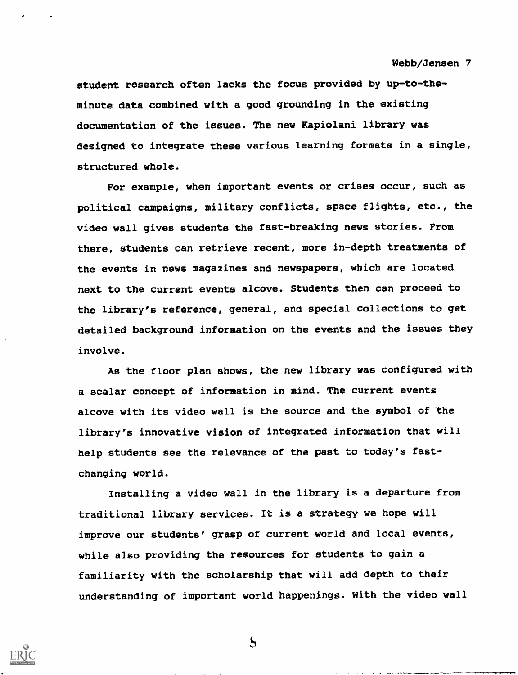student research often lacks the focus provided by up-to-theminute data combined with a good grounding in the existing documentation of the issues. The new Kapiolani library was designed to integrate these various learning formats in a single, structured whole.

For example, when important events or crises occur, such as political campaigns, military conflicts, space flights, etc., the video wall gives students the fast-breaking news stories. From there, students can retrieve recent, more in-depth treatments of the events in news magazines and newspapers, which are located next to the current events alcove. Students then can proceed to the library's reference, general, and special collections to get detailed background information on the events and the issues they involve.

As the floor plan shows, the new library was configured with a scalar concept of information in mind. The current events alcove with its video wall is the source and the symbol of the library's innovative vision of integrated information that will help students see the relevance of the past to today's fastchanging world.

Installing a video wall in the library is a departure from traditional library services. It is a strategy we hope will improve our students° grasp of current world and local events, while also providing the resources for students to gain a familiarity with the scholarship that will add depth to their understanding of important world happenings. With the video wall



 $\mathcal{S}$